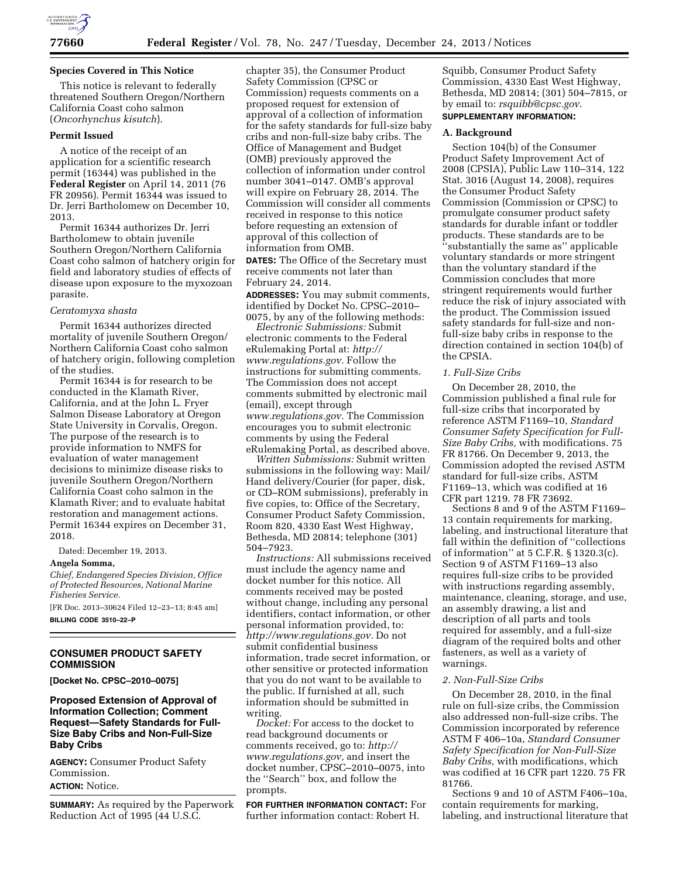

## **Species Covered in This Notice**

This notice is relevant to federally threatened Southern Oregon/Northern California Coast coho salmon (*Oncorhynchus kisutch*).

# **Permit Issued**

A notice of the receipt of an application for a scientific research permit (16344) was published in the **Federal Register** on April 14, 2011 (76 FR 20956). Permit 16344 was issued to Dr. Jerri Bartholomew on December 10, 2013.

Permit 16344 authorizes Dr. Jerri Bartholomew to obtain juvenile Southern Oregon/Northern California Coast coho salmon of hatchery origin for field and laboratory studies of effects of disease upon exposure to the myxozoan parasite.

### *Ceratomyxa shasta*

Permit 16344 authorizes directed mortality of juvenile Southern Oregon/ Northern California Coast coho salmon of hatchery origin, following completion of the studies.

Permit 16344 is for research to be conducted in the Klamath River, California, and at the John L. Fryer Salmon Disease Laboratory at Oregon State University in Corvalis, Oregon. The purpose of the research is to provide information to NMFS for evaluation of water management decisions to minimize disease risks to juvenile Southern Oregon/Northern California Coast coho salmon in the Klamath River; and to evaluate habitat restoration and management actions. Permit 16344 expires on December 31, 2018.

Dated: December 19, 2013.

#### **Angela Somma,**

*Chief, Endangered Species Division, Office of Protected Resources, National Marine Fisheries Service.* 

[FR Doc. 2013–30624 Filed 12–23–13; 8:45 am] **BILLING CODE 3510–22–P** 

# **CONSUMER PRODUCT SAFETY COMMISSION**

**[Docket No. CPSC–2010–0075]** 

# **Proposed Extension of Approval of Information Collection; Comment Request—Safety Standards for Full-Size Baby Cribs and Non-Full-Size Baby Cribs**

**AGENCY:** Consumer Product Safety Commission. **ACTION:** Notice.

**SUMMARY:** As required by the Paperwork Reduction Act of 1995 (44 U.S.C.

chapter 35), the Consumer Product Safety Commission (CPSC or Commission) requests comments on a proposed request for extension of approval of a collection of information for the safety standards for full-size baby cribs and non-full-size baby cribs. The Office of Management and Budget (OMB) previously approved the collection of information under control number 3041–0147. OMB's approval will expire on February 28, 2014. The Commission will consider all comments received in response to this notice before requesting an extension of approval of this collection of information from OMB.

**DATES:** The Office of the Secretary must receive comments not later than February 24, 2014.

**ADDRESSES:** You may submit comments, identified by Docket No. CPSC–2010– 0075, by any of the following methods:

*Electronic Submissions:* Submit electronic comments to the Federal eRulemaking Portal at: *[http://](http://www.regulations.gov) [www.regulations.gov.](http://www.regulations.gov)* Follow the instructions for submitting comments. The Commission does not accept comments submitted by electronic mail (email), except through *[www.regulations.gov.](http://www.regulations.gov)* The Commission encourages you to submit electronic comments by using the Federal eRulemaking Portal, as described above.

*Written Submissions:* Submit written submissions in the following way: Mail/ Hand delivery/Courier (for paper, disk, or CD–ROM submissions), preferably in five copies, to: Office of the Secretary, Consumer Product Safety Commission, Room 820, 4330 East West Highway, Bethesda, MD 20814; telephone (301) 504–7923.

*Instructions:* All submissions received must include the agency name and docket number for this notice. All comments received may be posted without change, including any personal identifiers, contact information, or other personal information provided, to: *[http://www.regulations.gov.](http://www.regulations.gov)* Do not submit confidential business information, trade secret information, or other sensitive or protected information that you do not want to be available to the public. If furnished at all, such information should be submitted in writing.

*Docket:* For access to the docket to read background documents or comments received, go to: *[http://](http://www.regulations.gov) [www.regulations.gov,](http://www.regulations.gov)* and insert the docket number, CPSC–2010–0075, into the ''Search'' box, and follow the prompts.

**FOR FURTHER INFORMATION CONTACT:** For further information contact: Robert H.

Squibb, Consumer Product Safety Commission, 4330 East West Highway, Bethesda, MD 20814; (301) 504–7815, or by email to: *[rsquibb@cpsc.gov](mailto:rsquibb@cpsc.gov)*. **SUPPLEMENTARY INFORMATION:** 

### **A. Background**

Section 104(b) of the Consumer Product Safety Improvement Act of 2008 (CPSIA), Public Law 110–314, 122 Stat. 3016 (August 14, 2008), requires the Consumer Product Safety Commission (Commission or CPSC) to promulgate consumer product safety standards for durable infant or toddler products. These standards are to be ''substantially the same as'' applicable voluntary standards or more stringent than the voluntary standard if the Commission concludes that more stringent requirements would further reduce the risk of injury associated with the product. The Commission issued safety standards for full-size and nonfull-size baby cribs in response to the direction contained in section 104(b) of the CPSIA.

## *1. Full-Size Cribs*

On December 28, 2010, the Commission published a final rule for full-size cribs that incorporated by reference ASTM F1169–10, *Standard Consumer Safety Specification for Full-Size Baby Cribs,* with modifications. 75 FR 81766. On December 9, 2013, the Commission adopted the revised ASTM standard for full-size cribs, ASTM F1169–13, which was codified at 16 CFR part 1219. 78 FR 73692.

Sections 8 and 9 of the ASTM F1169– 13 contain requirements for marking, labeling, and instructional literature that fall within the definition of ''collections of information'' at 5 C.F.R. § 1320.3(c). Section 9 of ASTM F1169–13 also requires full-size cribs to be provided with instructions regarding assembly, maintenance, cleaning, storage, and use, an assembly drawing, a list and description of all parts and tools required for assembly, and a full-size diagram of the required bolts and other fasteners, as well as a variety of warnings.

### *2. Non-Full-Size Cribs*

On December 28, 2010, in the final rule on full-size cribs, the Commission also addressed non-full-size cribs. The Commission incorporated by reference ASTM F 406–10a, *Standard Consumer Safety Specification for Non-Full-Size Baby Cribs,* with modifications, which was codified at 16 CFR part 1220. 75 FR 81766.

Sections 9 and 10 of ASTM F406–10a, contain requirements for marking, labeling, and instructional literature that